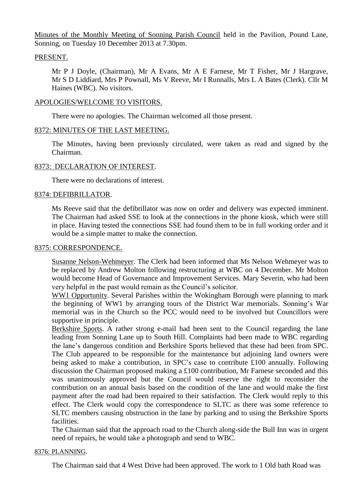Minutes of the Monthly Meeting of Sonning Parish Council held in the Pavilion, Pound Lane, Sonning, on Tuesday 10 December 2013 at 7.30pm.

# PRESENT.

Mr P J Doyle, (Chairman), Mr A Evans, Mr A E Farnese, Mr T Fisher, Mr J Hargrave, Mr S D Liddiard, Mrs P Pownall, Ms V Reeve, Mr I Runnalls, Mrs L A Bates (Clerk). Cllr M Haines (WBC). No visitors.

### APOLOGIES/WELCOME TO VISITORS.

There were no apologies. The Chairman welcomed all those present.

### 8372: MINUTES OF THE LAST MEETING.

The Minutes, having been previously circulated, were taken as read and signed by the Chairman.

### 8373: DECLARATION OF INTEREST.

There were no declarations of interest.

### 8374: DEFIBRILLATOR.

Ms Reeve said that the defibrillator was now on order and delivery was expected imminent. The Chairman had asked SSE to look at the connections in the phone kiosk, which were still in place. Having tested the connections SSE had found them to be in full working order and it would be a simple matter to make the connection.

#### 8375: CORRESPONDENCE.

Susanne Nelson-Wehmeyer. The Clerk had been informed that Ms Nelson Wehmeyer was to be replaced by Andrew Molton following restructuring at WBC on 4 December. Mr Molton would become Head of Governance and Improvement Services. Mary Severin, who had been very helpful in the past would remain as the Council's solicitor.

WW1 Opportunity. Several Parishes within the Wokingham Borough were planning to mark the beginning of WW1 by arranging tours of the District War memorials. Sonning's War memorial was in the Church so the PCC would need to be involved but Councillors were supportive in principle.

Berkshire Sports. A rather strong e-mail had been sent to the Council regarding the lane leading from Sonning Lane up to South Hill. Complaints had been made to WBC regarding the lane's dangerous condition and Berkshire Sports believed that these had been from SPC. The Club appeared to be responsible for the maintenance but adjoining land owners were being asked to make a contribution, in SPC's case to contribute £100 annually. Following discussion the Chairman proposed making a £100 contribution, Mr Farnese seconded and this was unanimously approved but the Council would reserve the right to reconsider the contribution on an annual basis based on the condition of the lane and would make the first payment after the road had been repaired to their satisfaction. The Clerk would reply to this effect. The Clerk would copy the correspondence to SLTC as there was some reference to SLTC members causing obstruction in the lane by parking and to using the Berkshire Sports facilities.

The Chairman said that the approach road to the Church along-side the Bull Inn was in urgent need of repairs, he would take a photograph and send to WBC.

#### 8376: PLANNING.

The Chairman said that 4 West Drive had been approved. The work to 1 Old bath Road was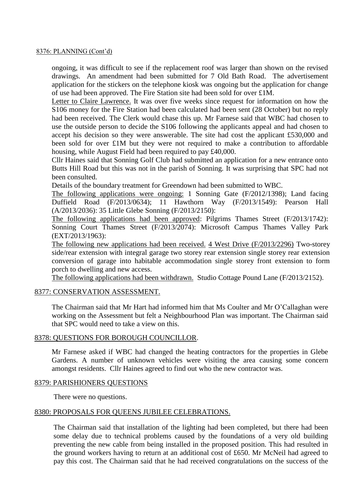#### 8376: PLANNING (Cont'd)

ongoing, it was difficult to see if the replacement roof was larger than shown on the revised drawings. An amendment had been submitted for 7 Old Bath Road. The advertisement application for the stickers on the telephone kiosk was ongoing but the application for change of use had been approved. The Fire Station site had been sold for over £1M.

Letter to Claire Lawrence. It was over five weeks since request for information on how the S106 money for the Fire Station had been calculated had been sent (28 October) but no reply had been received. The Clerk would chase this up. Mr Farnese said that WBC had chosen to use the outside person to decide the S106 following the applicants appeal and had chosen to accept his decision so they were answerable. The site had cost the applicant £530,000 and been sold for over £1M but they were not required to make a contribution to affordable housing, while August Field had been required to pay £40,000.

Cllr Haines said that Sonning Golf Club had submitted an application for a new entrance onto Butts Hill Road but this was not in the parish of Sonning. It was surprising that SPC had not been consulted.

Details of the boundary treatment for Greendown had been submitted to WBC.

The following applications were ongoing: 1 Sonning Gate (F/2012/1398); Land facing Duffield Road (F/2013/0634); 11 Hawthorn Way (F/2013/1549): Pearson Hall (A/2013/2036): 35 Little Glebe Sonning (F/2013/2150):

The following applications had been approved: Pilgrims Thames Street (F/2013/1742): Sonning Court Thames Street (F/2013/2074): Microsoft Campus Thames Valley Park (EXT/2013/1963):

The following new applications had been received. 4 West Drive (F/2013/2296) Two-storey side/rear extension with integral garage two storey rear extension single storey rear extension conversion of garage into habitable accommodation single storey front extension to form porch to dwelling and new access.

The following applications had been withdrawn. Studio Cottage Pound Lane (F/2013/2152).

# 8377: CONSERVATION ASSESSMENT.

The Chairman said that Mr Hart had informed him that Ms Coulter and Mr O'Callaghan were working on the Assessment but felt a Neighbourhood Plan was important. The Chairman said that SPC would need to take a view on this.

# 8378: QUESTIONS FOR BOROUGH COUNCILLOR.

Mr Farnese asked if WBC had changed the heating contractors for the properties in Glebe Gardens. A number of unknown vehicles were visiting the area causing some concern amongst residents. Cllr Haines agreed to find out who the new contractor was.

#### 8379: PARISHIONERS QUESTIONS

There were no questions.

# 8380: PROPOSALS FOR QUEENS JUBILEE CELEBRATIONS.

The Chairman said that installation of the lighting had been completed, but there had been some delay due to technical problems caused by the foundations of a very old building preventing the new cable from being installed in the proposed position. This had resulted in the ground workers having to return at an additional cost of £650. Mr McNeil had agreed to pay this cost. The Chairman said that he had received congratulations on the success of the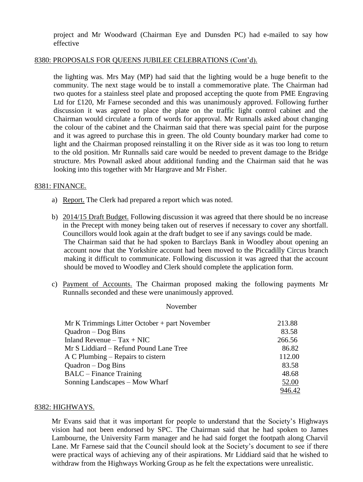project and Mr Woodward (Chairman Eye and Dunsden PC) had e-mailed to say how effective

## 8380: PROPOSALS FOR QUEENS JUBILEE CELEBRATIONS (Cont'd).

the lighting was. Mrs May (MP) had said that the lighting would be a huge benefit to the community. The next stage would be to install a commemorative plate. The Chairman had two quotes for a stainless steel plate and proposed accepting the quote from PME Engraving Ltd for £120, Mr Farnese seconded and this was unanimously approved. Following further discussion it was agreed to place the plate on the traffic light control cabinet and the Chairman would circulate a form of words for approval. Mr Runnalls asked about changing the colour of the cabinet and the Chairman said that there was special paint for the purpose and it was agreed to purchase this in green. The old County boundary marker had come to light and the Chairman proposed reinstalling it on the River side as it was too long to return to the old position. Mr Runnalls said care would be needed to prevent damage to the Bridge structure. Mrs Pownall asked about additional funding and the Chairman said that he was looking into this together with Mr Hargrave and Mr Fisher.

### 8381: FINANCE.

- a) Report. The Clerk had prepared a report which was noted.
- b) 2014/15 Draft Budget. Following discussion it was agreed that there should be no increase in the Precept with money being taken out of reserves if necessary to cover any shortfall. Councillors would look again at the draft budget to see if any savings could be made. The Chairman said that he had spoken to Barclays Bank in Woodley about opening an account now that the Yorkshire account had been moved to the Piccadilly Circus branch making it difficult to communicate. Following discussion it was agreed that the account should be moved to Woodley and Clerk should complete the application form.
- c) Payment of Accounts. The Chairman proposed making the following payments Mr Runnalls seconded and these were unanimously approved.

November

| $Mr K$ Trimmings Litter October + part November | 213.88 |
|-------------------------------------------------|--------|
| $Quadron - Dog Bins$                            | 83.58  |
| Inland Revenue $-$ Tax + NIC                    | 266.56 |
| Mr S Liddiard – Refund Pound Lane Tree          | 86.82  |
| A C Plumbing – Repairs to cistern               | 112.00 |
| $Quadron - Dog Bins$                            | 83.58  |
| <b>BALC</b> – Finance Training                  | 48.68  |
| Sonning Landscapes – Mow Wharf                  | 52.00  |
|                                                 | 946.42 |

#### 8382: HIGHWAYS.

Mr Evans said that it was important for people to understand that the Society's Highways vision had not been endorsed by SPC. The Chairman said that he had spoken to James Lambourne, the University Farm manager and he had said forget the footpath along Charvil Lane. Mr Farnese said that the Council should look at the Society's document to see if there were practical ways of achieving any of their aspirations. Mr Liddiard said that he wished to withdraw from the Highways Working Group as he felt the expectations were unrealistic.